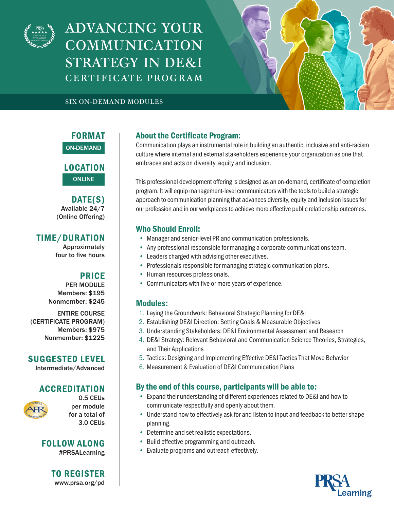

ADVANCING YOUR COMMUNICATION STRATEGY IN DE&I C E RT I F IC AT E P R O G R A M



#### SIX ON-DEMAND MODULES

FORMAT ON-DEMAND

LOCATION ONLINE

DATE(S) Available 24/7 (Online Offering)

## TIME/DURATION

Approximately four to five hours

## PRICE

PER MODULE Members: \$195 Nonmember: \$245

ENTIRE COURSE (CERTIFICATE PROGRAM) Members: \$975 Nonmember: \$1225

### SUGGESTED LEVEL

Intermediate/Advanced

# **ACCREDITATION**



0.5 CEUs per module for a total of 3.0 CEUs

FOLLOW ALONG #PRSALearning

> TO REGISTER www.prsa.org/pd

# About the Certificate Program:

Communication plays an instrumental role in building an authentic, inclusive and anti-racism culture where internal and external stakeholders experience your organization as one that embraces and acts on diversity, equity and inclusion.

This professional development offering is designed as an on-demand, certificate of completion program. It will equip management-level communicators with the tools to build a strategic approach to communication planning that advances diversity, equity and inclusion issues for our profession and in our workplaces to achieve more effective public relationship outcomes.

### Who Should Enroll:

- Manager and senior-level PR and communication professionals.
- Any professional responsible for managing a corporate communications team.
- Leaders charged with advising other executives.
- Professionals responsible for managing strategic communication plans.
- Human resources professionals.
- Communicators with five or more years of experience.

### Modules:

- 1. Laying the Groundwork: Behavioral Strategic Planning for DE&I
- 2. Establishing DE&I Direction: Setting Goals & Measurable Objectives
- 3. Understanding Stakeholders: DE&I Environmental Assessment and Research
- 4. DE&I Strategy: Relevant Behavioral and Communication Science Theories, Strategies, and Their Applications
- 5. Tactics: Designing and Implementing Effective DE&I Tactics That Move Behavior
- 6. Measurement & Evaluation of DE&I Communication Plans

## By the end of this course, participants will be able to:

- Expand their understanding of different experiences related to DE&I and how to communicate respectfully and openly about them.
- Understand how to effectively ask for and listen to input and feedback to better shape planning.
- Determine and set realistic expectations.
- Build effective programming and outreach.
- Evaluate programs and outreach effectively.